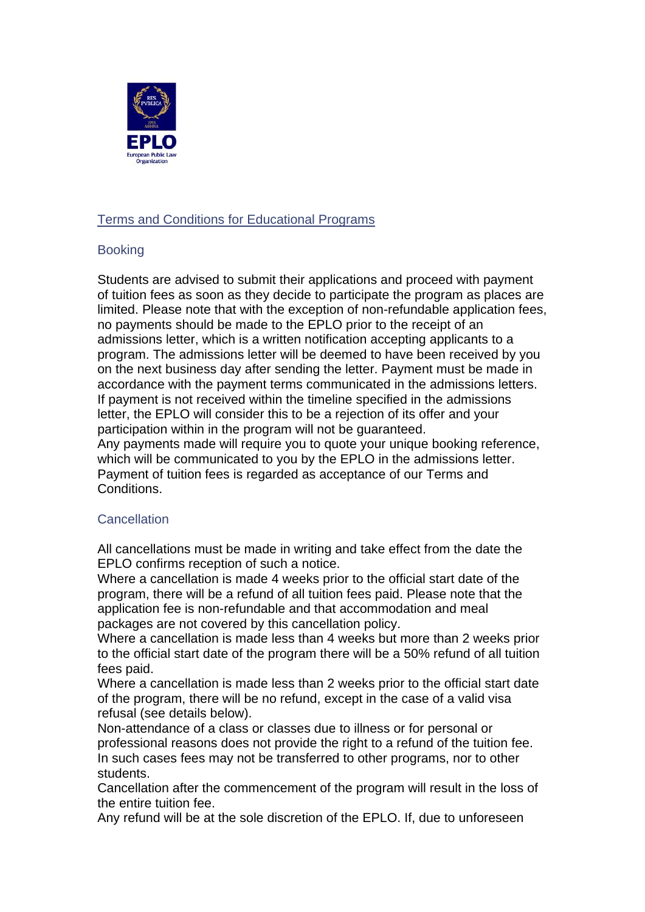

# Terms and Conditions for Educational Programs

### Booking

Students are advised to submit their applications and proceed with payment of tuition fees as soon as they decide to participate the program as places are limited. Please note that with the exception of non-refundable application fees, no payments should be made to the EPLO prior to the receipt of an admissions letter, which is a written notification accepting applicants to a program. The admissions letter will be deemed to have been received by you on the next business day after sending the letter. Payment must be made in accordance with the payment terms communicated in the admissions letters. If payment is not received within the timeline specified in the admissions letter, the EPLO will consider this to be a rejection of its offer and your participation within in the program will not be guaranteed.

Any payments made will require you to quote your unique booking reference, which will be communicated to you by the EPLO in the admissions letter. Payment of tuition fees is regarded as acceptance of our Terms and Conditions.

### **Cancellation**

All cancellations must be made in writing and take effect from the date the EPLO confirms reception of such a notice.

Where a cancellation is made 4 weeks prior to the official start date of the program, there will be a refund of all tuition fees paid. Please note that the application fee is non-refundable and that accommodation and meal packages are not covered by this cancellation policy.

Where a cancellation is made less than 4 weeks but more than 2 weeks prior to the official start date of the program there will be a 50% refund of all tuition fees paid.

Where a cancellation is made less than 2 weeks prior to the official start date of the program, there will be no refund, except in the case of a valid visa refusal (see details below).

Non-attendance of a class or classes due to illness or for personal or professional reasons does not provide the right to a refund of the tuition fee. In such cases fees may not be transferred to other programs, nor to other students.

Cancellation after the commencement of the program will result in the loss of the entire tuition fee.

Any refund will be at the sole discretion of the EPLO. If, due to unforeseen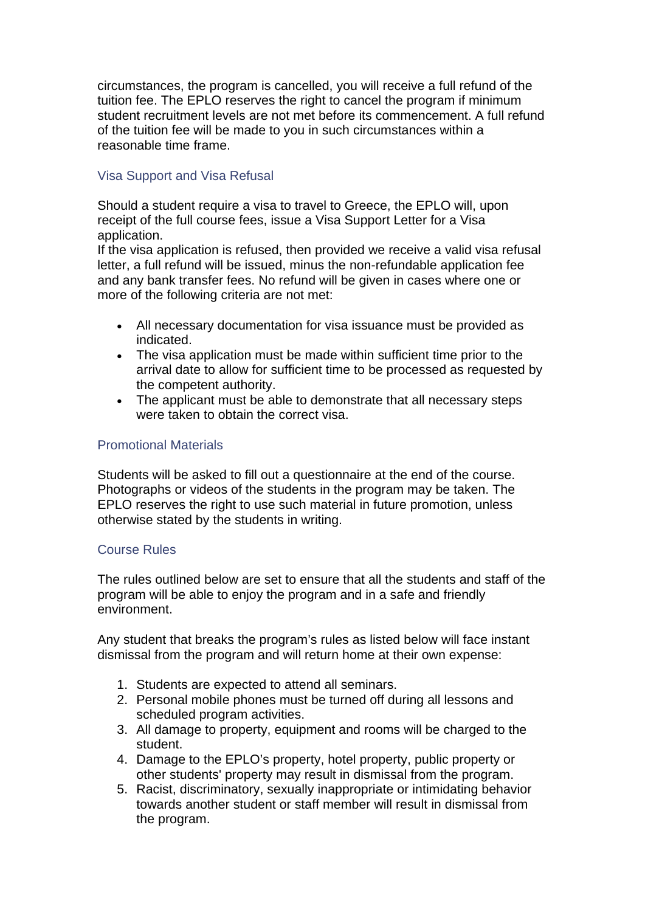circumstances, the program is cancelled, you will receive a full refund of the tuition fee. The EPLO reserves the right to cancel the program if minimum student recruitment levels are not met before its commencement. A full refund of the tuition fee will be made to you in such circumstances within a reasonable time frame.

## Visa Support and Visa Refusal

Should a student require a visa to travel to Greece, the EPLO will, upon receipt of the full course fees, issue a Visa Support Letter for a Visa application.

If the visa application is refused, then provided we receive a valid visa refusal letter, a full refund will be issued, minus the non-refundable application fee and any bank transfer fees. No refund will be given in cases where one or more of the following criteria are not met:

- All necessary documentation for visa issuance must be provided as indicated.
- The visa application must be made within sufficient time prior to the arrival date to allow for sufficient time to be processed as requested by the competent authority.
- The applicant must be able to demonstrate that all necessary steps were taken to obtain the correct visa.

### Promotional Materials

Students will be asked to fill out a questionnaire at the end of the course. Photographs or videos of the students in the program may be taken. The EPLO reserves the right to use such material in future promotion, unless otherwise stated by the students in writing.

### Course Rules

The rules outlined below are set to ensure that all the students and staff of the program will be able to enjoy the program and in a safe and friendly environment.

Any student that breaks the program's rules as listed below will face instant dismissal from the program and will return home at their own expense:

- 1. Students are expected to attend all seminars.
- 2. Personal mobile phones must be turned off during all lessons and scheduled program activities.
- 3. All damage to property, equipment and rooms will be charged to the student.
- 4. Damage to the EPLO's property, hotel property, public property or other students' property may result in dismissal from the program.
- 5. Racist, discriminatory, sexually inappropriate or intimidating behavior towards another student or staff member will result in dismissal from the program.